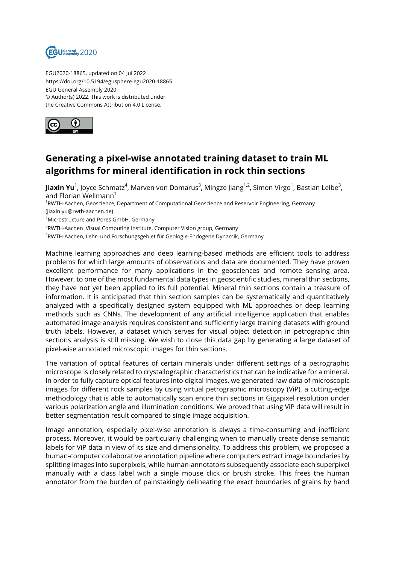

EGU2020-18865, updated on 04 Jul 2022 https://doi.org/10.5194/egusphere-egu2020-18865 EGU General Assembly 2020 © Author(s) 2022. This work is distributed under the Creative Commons Attribution 4.0 License.



## **Generating a pixel-wise annotated training dataset to train ML algorithms for mineral identification in rock thin sections**

**Jiaxin Yu**<sup>1</sup>, Joyce Schmatz<sup>4</sup>, Marven von Domarus<sup>3</sup>, Mingze Jiang<sup>1,2</sup>, Simon Virgo<sup>1</sup>, Bastian Leibe<sup>3</sup>, and Florian Wellmann $<sup>1</sup>$ </sup> <sup>1</sup>RWTH-Aachen, Geoscience, Department of Computational Geoscience and Reservoir Engineering, Germany (jiaxin.yu@rwth-aachen.de) <sup>2</sup>Microstructure and Pores GmbH, Germany  $^3$ RWTH-Aachen ,Visual Computing Institute, Computer Vision group, Germany  $^4$ RWTH-Aachen, Lehr- und Forschungsgebiet für Geologie-Endogene Dynamik, Germany

Machine learning approaches and deep learning-based methods are efficient tools to address problems for which large amounts of observations and data are documented. They have proven excellent performance for many applications in the geosciences and remote sensing area. However, to one of the most fundamental data types in geoscientific studies, mineral thin sections, they have not yet been applied to its full potential. Mineral thin sections contain a treasure of information. It is anticipated that thin section samples can be systematically and quantitatively analyzed with a specifically designed system equipped with ML approaches or deep learning methods such as CNNs. The development of any artificial intelligence application that enables automated image analysis requires consistent and sufficiently large training datasets with ground truth labels. However, a dataset which serves for visual object detection in petrographic thin sections analysis is still missing. We wish to close this data gap by generating a large dataset of pixel-wise annotated microscopic images for thin sections.

The variation of optical features of certain minerals under different settings of a petrographic microscope is closely related to crystallographic characteristics that can be indicative for a mineral. In order to fully capture optical features into digital images, we generated raw data of microscopic images for different rock samples by using virtual petrographic microscopy (ViP), a cutting-edge methodology that is able to automatically scan entire thin sections in Gigapixel resolution under various polarization angle and illumination conditions. We proved that using ViP data will result in better segmentation result compared to single image acquisition.

Image annotation, especially pixel-wise annotation is always a time-consuming and inefficient process. Moreover, it would be particularly challenging when to manually create dense semantic labels for ViP data in view of its size and dimensionality. To address this problem, we proposed a human-computer collaborative annotation pipeline where computers extract image boundaries by splitting images into superpixels, while human-annotators subsequently associate each superpixel manually with a class label with a single mouse click or brush stroke. This frees the human annotator from the burden of painstakingly delineating the exact boundaries of grains by hand